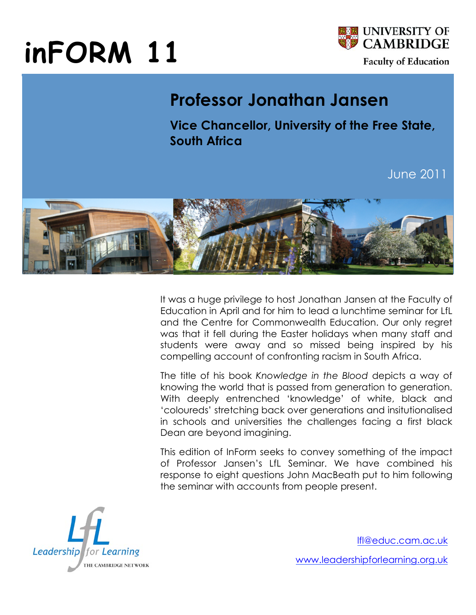# **inFORM 11**



## **Professor Jonathan Jansen**

**Vice Chancellor, University of the Free State, South Africa**

June 2011



It was a huge privilege to host Jonathan Jansen at the Faculty of Education in April and for him to lead a lunchtime seminar for LfL and the Centre for Commonwealth Education. Our only regret was that it fell during the Easter holidays when many staff and students were away and so missed being inspired by his compelling account of confronting racism in South Africa.

The title of his book *Knowledge in the Blood* depicts a way of knowing the world that is passed from generation to generation. With deeply entrenched 'knowledge' of white, black and 'coloureds' stretching back over generations and insitutionalised in schools and universities the challenges facing a first black Dean are beyond imagining.

This edition of InForm seeks to convey something of the impact of Professor Jansen's LfL Seminar. We have combined his response to eight questions John MacBeath put to him following the seminar with accounts from people present.



lfl@educ.cam.ac.uk

www.leadershipforlearning.org.uk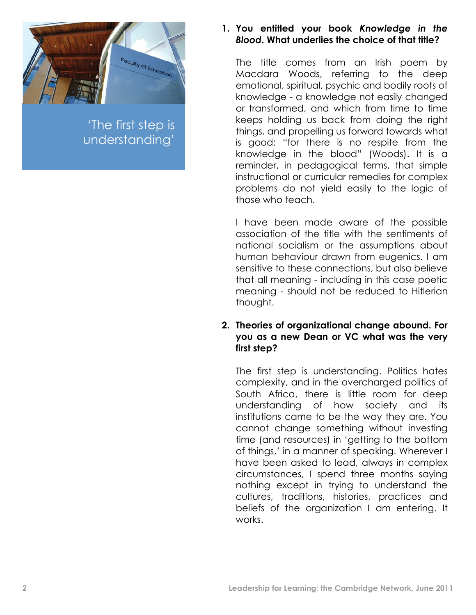

'The first step is understanding'

#### **1. You entitled your book** *Knowledge in the Blood***. What underlies the choice of that title?**

The title comes from an Irish poem by Macdara Woods, referring to the deep emotional, spiritual, psychic and bodily roots of knowledge - a knowledge not easily changed or transformed, and which from time to time keeps holding us back from doing the right things, and propelling us forward towards what is good: "for there is no respite from the knowledge in the blood" (Woods). It is a reminder, in pedagogical terms, that simple instructional or curricular remedies for complex problems do not yield easily to the logic of those who teach.

I have been made aware of the possible association of the title with the sentiments of national socialism or the assumptions about human behaviour drawn from eugenics. I am sensitive to these connections, but also believe that all meaning - including in this case poetic meaning - should not be reduced to Hitlerian thought.

#### **2. Theories of organizational change abound. For you as a new Dean or VC what was the very first step?**

The first step is understanding. Politics hates complexity, and in the overcharged politics of South Africa, there is little room for deep understanding of how society and its institutions came to be the way they are. You cannot change something without investing time (and resources) in 'getting to the bottom of things,' in a manner of speaking. Wherever I have been asked to lead, always in complex circumstances, I spend three months saying nothing except in trying to understand the cultures, traditions, histories, practices and beliefs of the organization I am entering. It works.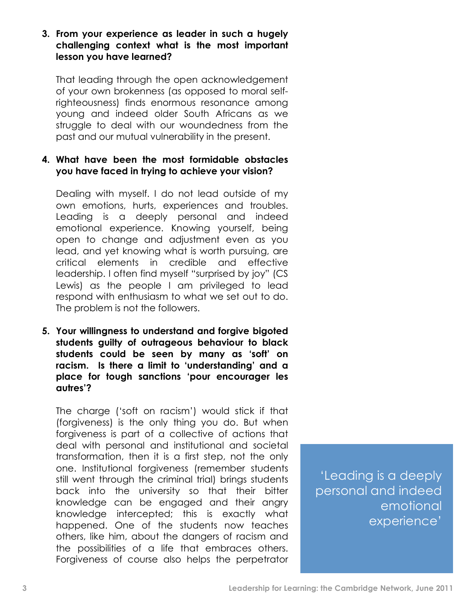**3. From your experience as leader in such a hugely challenging context what is the most important lesson you have learned?**

That leading through the open acknowledgement of your own brokenness (as opposed to moral selfrighteousness) finds enormous resonance among young and indeed older South Africans as we struggle to deal with our woundedness from the past and our mutual vulnerability in the present.

#### **4. What have been the most formidable obstacles you have faced in trying to achieve your vision?**

Dealing with myself. I do not lead outside of my own emotions, hurts, experiences and troubles. Leading is a deeply personal and indeed emotional experience. Knowing yourself, being open to change and adjustment even as you lead, and yet knowing what is worth pursuing, are critical elements in credible and effective leadership. I often find myself "surprised by joy" (CS Lewis) as the people I am privileged to lead respond with enthusiasm to what we set out to do. The problem is not the followers.

**5. Your willingness to understand and forgive bigoted students guilty of outrageous behaviour to black students could be seen by many as 'soft' on racism. Is there a limit to 'understanding' and a place for tough sanctions 'pour encourager les autres'?**

The charge ('soft on racism') would stick if that (forgiveness) is the only thing you do. But when forgiveness is part of a collective of actions that deal with personal and institutional and societal transformation, then it is a first step, not the only one. Institutional forgiveness (remember students still went through the criminal trial) brings students back into the university so that their bitter knowledge can be engaged and their angry knowledge intercepted; this is exactly what happened. One of the students now teaches others, like him, about the dangers of racism and the possibilities of a life that embraces others. Forgiveness of course also helps the perpetrator

'Leading is a deeply personal and indeed emotional experience'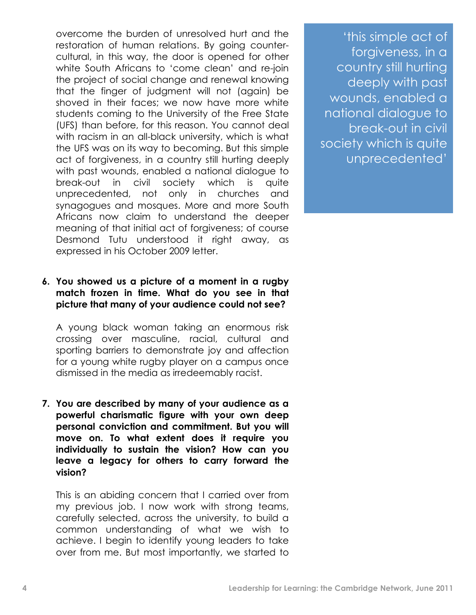overcome the burden of unresolved hurt and the restoration of human relations. By going countercultural, in this way, the door is opened for other white South Africans to 'come clean' and re-join the project of social change and renewal knowing that the finger of judgment will not (again) be shoved in their faces; we now have more white students coming to the University of the Free State (UFS) than before, for this reason. You cannot deal with racism in an all-black university, which is what the UFS was on its way to becoming. But this simple act of forgiveness, in a country still hurting deeply with past wounds, enabled a national dialogue to break-out in civil society which is quite unprecedented, not only in churches and synagogues and mosques. More and more South Africans now claim to understand the deeper meaning of that initial act of forgiveness; of course Desmond Tutu understood it right away, as expressed in his October 2009 letter.

#### **6. You showed us a picture of a moment in a rugby match frozen in time. What do you see in that picture that many of your audience could not see?**

A young black woman taking an enormous risk crossing over masculine, racial, cultural and sporting barriers to demonstrate joy and affection for a young white rugby player on a campus once dismissed in the media as irredeemably racist.

**7. You are described by many of your audience as a powerful charismatic figure with your own deep personal conviction and commitment. But you will move on. To what extent does it require you individually to sustain the vision? How can you leave a legacy for others to carry forward the vision?**

This is an abiding concern that I carried over from my previous job. I now work with strong teams, carefully selected, across the university, to build a common understanding of what we wish to achieve. I begin to identify young leaders to take over from me. But most importantly, we started to

'this simple act of forgiveness, in a country still hurting deeply with past wounds, enabled a national dialogue to break-out in civil society which is quite unprecedented'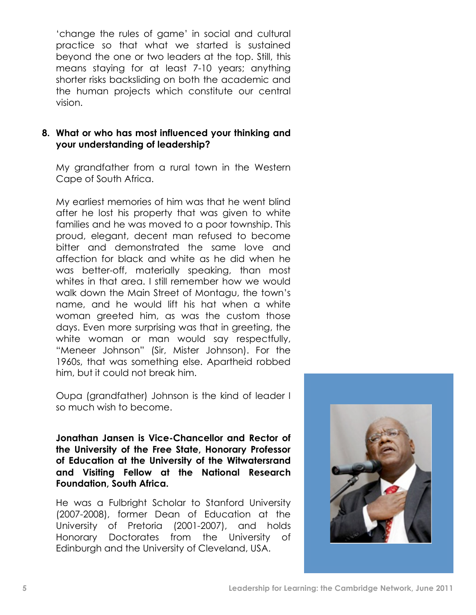'change the rules of game' in social and cultural practice so that what we started is sustained beyond the one or two leaders at the top. Still, this means staying for at least 7-10 years; anything shorter risks backsliding on both the academic and the human projects which constitute our central vision.

#### **8. What or who has most influenced your thinking and your understanding of leadership?**

My grandfather from a rural town in the Western Cape of South Africa.

My earliest memories of him was that he went blind after he lost his property that was given to white families and he was moved to a poor township. This proud, elegant, decent man refused to become bitter and demonstrated the same love and affection for black and white as he did when he was better-off, materially speaking, than most whites in that area. I still remember how we would walk down the Main Street of Montagu, the town's name, and he would lift his hat when a white woman greeted him, as was the custom those days. Even more surprising was that in greeting, the white woman or man would say respectfully, "Meneer Johnson" (Sir, Mister Johnson). For the 1960s, that was something else. Apartheid robbed him, but it could not break him.

Oupa (grandfather) Johnson is the kind of leader I so much wish to become.

**Jonathan Jansen is Vice-Chancellor and Rector of the University of the Free State, Honorary Professor of Education at the University of the Witwatersrand and Visiting Fellow at the National Research Foundation, South Africa.**

He was a Fulbright Scholar to Stanford University (2007-2008), former Dean of Education at the University of Pretoria (2001-2007), and holds Honorary Doctorates from the University of Edinburgh and the University of Cleveland, USA.

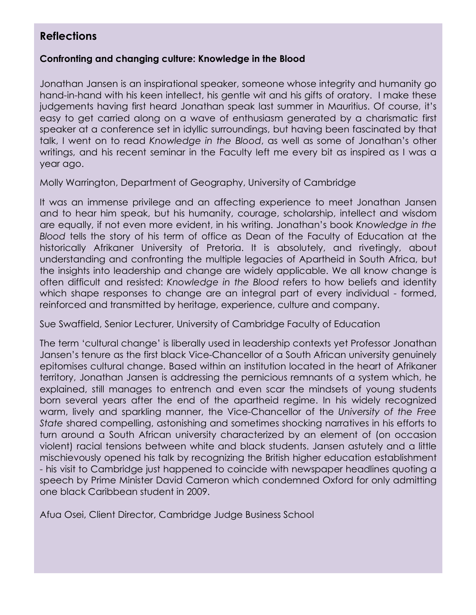### **Reflections**

#### **Confronting and changing culture: Knowledge in the Blood**

Jonathan Jansen is an inspirational speaker, someone whose integrity and humanity go hand-in-hand with his keen intellect, his gentle wit and his gifts of oratory. I make these judgements having first heard Jonathan speak last summer in Mauritius. Of course, it's easy to get carried along on a wave of enthusiasm generated by a charismatic first speaker at a conference set in idyllic surroundings, but having been fascinated by that talk, I went on to read *Knowledge in the Blood*, as well as some of Jonathan's other writings, and his recent seminar in the Faculty left me every bit as inspired as I was a year ago.

Molly Warrington, Department of Geography, University of Cambridge

It was an immense privilege and an affecting experience to meet Jonathan Jansen and to hear him speak, but his humanity, courage, scholarship, intellect and wisdom are equally, if not even more evident, in his writing. Jonathan's book *Knowledge in the Blood* tells the story of his term of office as Dean of the Faculty of Education at the historically Afrikaner University of Pretoria. It is absolutely, and rivetingly, about understanding and confronting the multiple legacies of Apartheid in South Africa, but the insights into leadership and change are widely applicable. We all know change is often difficult and resisted: *Knowledge in the Blood* refers to how beliefs and identity which shape responses to change are an integral part of every individual - formed, reinforced and transmitted by heritage, experience, culture and company.

Sue Swaffield, Senior Lecturer, University of Cambridge Faculty of Education

The term 'cultural change' is liberally used in leadership contexts yet Professor Jonathan Jansen's tenure as the first black Vice-Chancellor of a South African university genuinely epitomises cultural change. Based within an institution located in the heart of Afrikaner territory, Jonathan Jansen is addressing the pernicious remnants of a system which, he explained, still manages to entrench and even scar the mindsets of young students born several years after the end of the apartheid regime. In his widely recognized warm, lively and sparkling manner, the Vice-Chancellor of the *University of the Free State* shared compelling, astonishing and sometimes shocking narratives in his efforts to turn around a South African university characterized by an element of (on occasion violent) racial tensions between white and black students. Jansen astutely and a little mischievously opened his talk by recognizing the British higher education establishment - his visit to Cambridge just happened to coincide with newspaper headlines quoting a speech by Prime Minister David Cameron which condemned Oxford for only admitting one black Caribbean student in 2009.

Afua Osei, Client Director, Cambridge Judge Business School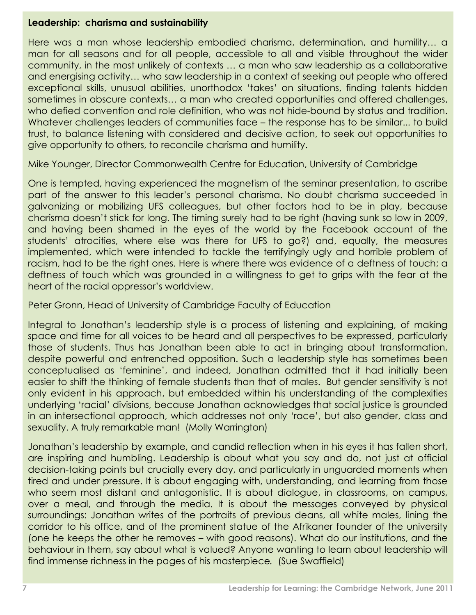#### **Leadership: charisma and sustainability**

Here was a man whose leadership embodied charisma, determination, and humility… a man for all seasons and for all people, accessible to all and visible throughout the wider community, in the most unlikely of contexts … a man who saw leadership as a collaborative and energising activity… who saw leadership in a context of seeking out people who offered exceptional skills, unusual abilities, unorthodox 'takes' on situations, finding talents hidden sometimes in obscure contexts… a man who created opportunities and offered challenges, who defied convention and role definition, who was not hide-bound by status and tradition. Whatever challenges leaders of communities face – the response has to be similar... to build trust, to balance listening with considered and decisive action, to seek out opportunities to give opportunity to others, to reconcile charisma and humility.

Mike Younger, Director Commonwealth Centre for Education, University of Cambridge

One is tempted, having experienced the magnetism of the seminar presentation, to ascribe part of the answer to this leader's personal charisma. No doubt charisma succeeded in galvanizing or mobilizing UFS colleagues, but other factors had to be in play, because charisma doesn't stick for long. The timing surely had to be right (having sunk so low in 2009, and having been shamed in the eyes of the world by the Facebook account of the students' atrocities, where else was there for UFS to go?) and, equally, the measures implemented, which were intended to tackle the terrifyingly ugly and horrible problem of racism, had to be the right ones. Here is where there was evidence of a deftness of touch; a deftness of touch which was grounded in a willingness to get to grips with the fear at the heart of the racial oppressor's worldview.

Peter Gronn, Head of University of Cambridge Faculty of Education

Integral to Jonathan's leadership style is a process of listening and explaining, of making space and time for all voices to be heard and all perspectives to be expressed, particularly those of students. Thus has Jonathan been able to act in bringing about transformation, despite powerful and entrenched opposition. Such a leadership style has sometimes been conceptualised as 'feminine', and indeed, Jonathan admitted that it had initially been easier to shift the thinking of female students than that of males. But gender sensitivity is not only evident in his approach, but embedded within his understanding of the complexities underlying 'racial' divisions, because Jonathan acknowledges that social justice is grounded in an intersectional approach, which addresses not only 'race', but also gender, class and sexuality. A truly remarkable man! (Molly Warrington)

Jonathan's leadership by example, and candid reflection when in his eyes it has fallen short, are inspiring and humbling. Leadership is about what you say and do, not just at official decision-taking points but crucially every day, and particularly in unguarded moments when tired and under pressure. It is about engaging with, understanding, and learning from those who seem most distant and antagonistic. It is about dialogue, in classrooms, on campus, over a meal, and through the media. It is about the messages conveyed by physical surroundings: Jonathan writes of the portraits of previous deans, all white males, lining the corridor to his office, and of the prominent statue of the Afrikaner founder of the university (one he keeps the other he removes – with good reasons). What do our institutions, and the behaviour in them, say about what is valued? Anyone wanting to learn about leadership will find immense richness in the pages of his masterpiece*.* (Sue Swaffield)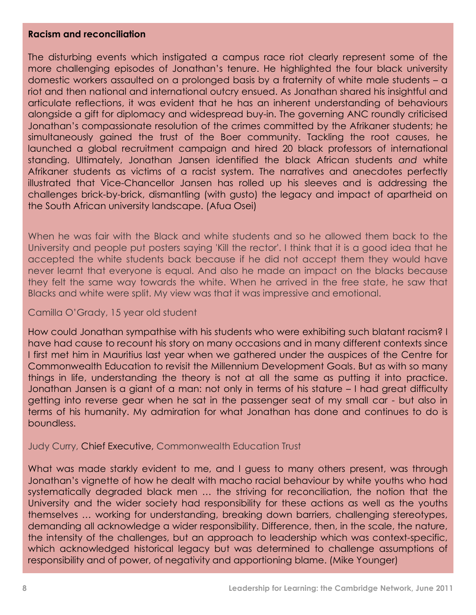#### **Racism and reconciliation**

The disturbing events which instigated a campus race riot clearly represent some of the more challenging episodes of Jonathan's tenure. He highlighted the four black university domestic workers assaulted on a prolonged basis by a fraternity of white male students – a riot and then national and international outcry ensued. As Jonathan shared his insightful and articulate reflections, it was evident that he has an inherent understanding of behaviours alongside a gift for diplomacy and widespread buy-in. The governing ANC roundly criticised Jonathan's compassionate resolution of the crimes committed by the Afrikaner students; he simultaneously gained the trust of the Boer community. Tackling the root causes, he launched a global recruitment campaign and hired 20 black professors of international standing. Ultimately, Jonathan Jansen identified the black African students *and* white Afrikaner students as victims of a racist system. The narratives and anecdotes perfectly illustrated that Vice-Chancellor Jansen has rolled up his sleeves and is addressing the challenges brick-by-brick, dismantling (with gusto) the legacy and impact of apartheid on the South African university landscape. (Afua Osei)

When he was fair with the Black and white students and so he allowed them back to the University and people put posters saying 'Kill the rector'. I think that it is a good idea that he accepted the white students back because if he did not accept them they would have never learnt that everyone is equal. And also he made an impact on the blacks because they felt the same way towards the white. When he arrived in the free state, he saw that Blacks and white were split. My view was that it was impressive and emotional.

#### Camilla O'Grady, 15 year old student

How could Jonathan sympathise with his students who were exhibiting such blatant racism? I have had cause to recount his story on many occasions and in many different contexts since I first met him in Mauritius last year when we gathered under the auspices of the Centre for Commonwealth Education to revisit the Millennium Development Goals. But as with so many things in life, understanding the theory is not at all the same as putting it into practice. Jonathan Jansen is a giant of a man: not only in terms of his stature – I had great difficulty getting into reverse gear when he sat in the passenger seat of my small car - but also in terms of his humanity. My admiration for what Jonathan has done and continues to do is boundless.

#### Judy Curry, Chief Executive, Commonwealth Education Trust

What was made starkly evident to me, and I guess to many others present, was through Jonathan's vignette of how he dealt with macho racial behaviour by white youths who had systematically degraded black men … the striving for reconciliation, the notion that the University and the wider society had responsibility for these actions as well as the youths themselves … working for understanding, breaking down barriers, challenging stereotypes, demanding all acknowledge a wider responsibility. Difference, then, in the scale, the nature, the intensity of the challenges, but an approach to leadership which was context-specific, which acknowledged historical legacy but was determined to challenge assumptions of responsibility and of power, of negativity and apportioning blame. (Mike Younger)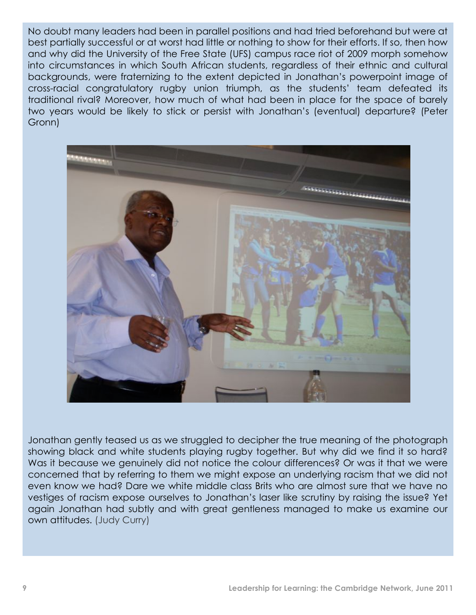No doubt many leaders had been in parallel positions and had tried beforehand but were at best partially successful or at worst had little or nothing to show for their efforts. If so, then how and why did the University of the Free State (UFS) campus race riot of 2009 morph somehow into circumstances in which South African students, regardless of their ethnic and cultural backgrounds, were fraternizing to the extent depicted in Jonathan's powerpoint image of cross-racial congratulatory rugby union triumph, as the students' team defeated its traditional rival? Moreover, how much of what had been in place for the space of barely two years would be likely to stick or persist with Jonathan's (eventual) departure? (Peter Gronn)



Jonathan gently teased us as we struggled to decipher the true meaning of the photograph showing black and white students playing rugby together. But why did we find it so hard? Was it because we genuinely did not notice the colour differences? Or was it that we were concerned that by referring to them we might expose an underlying racism that we did not even know we had? Dare we white middle class Brits who are almost sure that we have no vestiges of racism expose ourselves to Jonathan's laser like scrutiny by raising the issue? Yet again Jonathan had subtly and with great gentleness managed to make us examine our own attitudes. (Judy Curry)